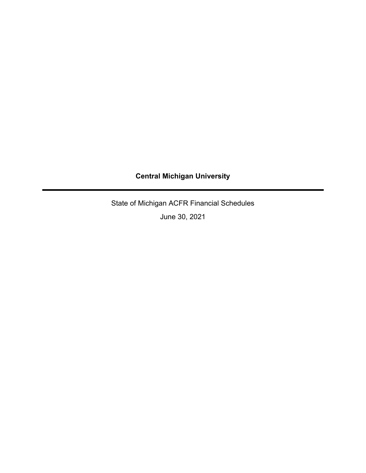State of Michigan ACFR Financial Schedules

June 30, 2021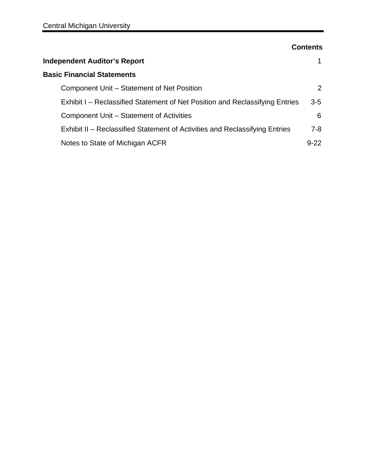# **Contents**

| <b>Independent Auditor's Report</b>                                          |               |
|------------------------------------------------------------------------------|---------------|
| <b>Basic Financial Statements</b>                                            |               |
| Component Unit – Statement of Net Position                                   | $\mathcal{P}$ |
| Exhibit I – Reclassified Statement of Net Position and Reclassifying Entries | $3-5$         |
| Component Unit – Statement of Activities                                     | 6             |
| Exhibit II – Reclassified Statement of Activities and Reclassifying Entries  | $7 - 8$       |
| Notes to State of Michigan ACFR                                              | $9 - 22$      |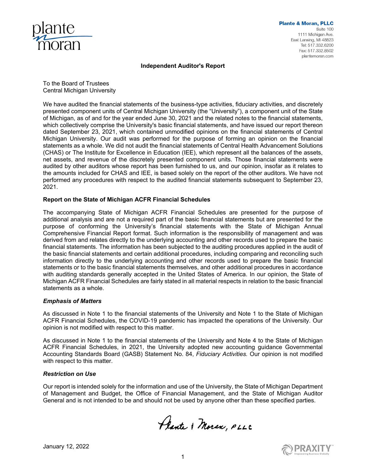

**Plante & Moran, PLLC** Suite 100 1111 Michigan Ave. East Lansing, MI 48823 Tel: 517.332.6200 Fax: 517.332.8502 plantemoran.com

### **Independent Auditor's Report**

To the Board of Trustees Central Michigan University

We have audited the financial statements of the business-type activities, fiduciary activities, and discretely presented component units of Central Michigan University (the "University"), a component unit of the State of Michigan, as of and for the year ended June 30, 2021 and the related notes to the financial statements, which collectively comprise the University's basic financial statements, and have issued our report thereon dated September 23, 2021, which contained unmodified opinions on the financial statements of Central Michigan University. Our audit was performed for the purpose of forming an opinion on the financial statements as a whole. We did not audit the financial statements of Central Health Advancement Solutions (CHAS) or The Institute for Excellence in Education (IEE), which represent all the balances of the assets, net assets, and revenue of the discretely presented component units. Those financial statements were audited by other auditors whose report has been furnished to us, and our opinion, insofar as it relates to the amounts included for CHAS and IEE, is based solely on the report of the other auditors. We have not performed any procedures with respect to the audited financial statements subsequent to September 23, 2021.

### **Report on the State of Michigan ACFR Financial Schedules**

The accompanying State of Michigan ACFR Financial Schedules are presented for the purpose of additional analysis and are not a required part of the basic financial statements but are presented for the purpose of conforming the University's financial statements with the State of Michigan Annual Comprehensive Financial Report format. Such information is the responsibility of management and was derived from and relates directly to the underlying accounting and other records used to prepare the basic financial statements. The information has been subjected to the auditing procedures applied in the audit of the basic financial statements and certain additional procedures, including comparing and reconciling such information directly to the underlying accounting and other records used to prepare the basic financial statements or to the basic financial statements themselves, and other additional procedures in accordance with auditing standards generally accepted in the United States of America. In our opinion, the State of Michigan ACFR Financial Schedules are fairly stated in all material respects in relation to the basic financial statements as a whole.

### *Emphasis of Matters*

As discussed in Note 1 to the financial statements of the University and Note 1 to the State of Michigan ACFR Financial Schedules, the COVID-19 pandemic has impacted the operations of the University. Our opinion is not modified with respect to this matter.

As discussed in Note 1 to the financial statements of the University and Note 4 to the State of Michigan ACFR Financial Schedules, in 2021, the University adopted new accounting guidance Governmental Accounting Standards Board (GASB) Statement No. 84, *Fiduciary Activities.* Our opinion is not modified with respect to this matter.

### *Restriction on Use*

Our report is intended solely for the information and use of the University, the State of Michigan Department of Management and Budget, the Office of Financial Management, and the State of Michigan Auditor General and is not intended to be and should not be used by anyone other than these specified parties.

Plante & Moran, PLLC

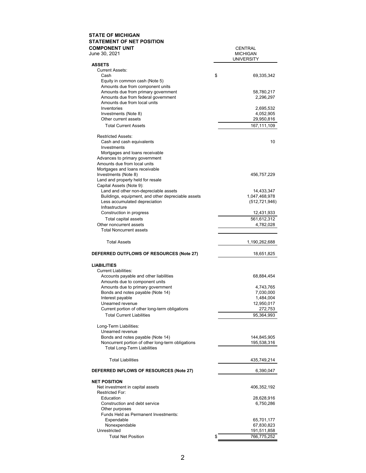| STATE OF MICHIGAN                                  |                             |
|----------------------------------------------------|-----------------------------|
| <b>STATEMENT OF NET POSITION</b>                   |                             |
| <b>COMPONENT UNIT</b>                              | CENTRAL                     |
| June 30, 2021                                      | <b>MICHIGAN</b>             |
|                                                    | <b>UNIVERSITY</b>           |
| <b>ASSETS</b>                                      |                             |
| <b>Current Assets:</b>                             |                             |
| Cash                                               | \$<br>69,335,342            |
| Equity in common cash (Note 5)                     |                             |
| Amounts due from component units                   |                             |
| Amounts due from primary government                | 58,780,217                  |
| Amounts due from federal government                | 2,296,297                   |
| Amounts due from local units                       |                             |
| Inventories                                        | 2,695,532                   |
| Investments (Note 8)                               | 4,052,905                   |
| Other current assets                               | 29,950,816                  |
| <b>Total Current Assets</b>                        | 167,111,109                 |
|                                                    |                             |
| <b>Restricted Assets:</b>                          |                             |
| Cash and cash equivalents                          | 10                          |
| Investments                                        |                             |
| Mortgages and loans receivable                     |                             |
| Advances to primary government                     |                             |
| Amounts due from local units                       |                             |
| Mortgages and loans receivable                     |                             |
| Investments (Note 8)                               | 456,757,229                 |
| Land and property held for resale                  |                             |
| Capital Assets (Note 9):                           |                             |
| Land and other non-depreciable assets              |                             |
| Buildings, equipment, and other depreciable assets | 14,433,347<br>1,047,468,978 |
|                                                    |                             |
| Less accumulated depreciation                      | (512, 721, 946)             |
| Infrastructure                                     |                             |
| Construction in progress                           | 12,431,933                  |
| Total capital assets                               | 561,612,312                 |
| Other noncurrent assets                            | 4,782,028                   |
| <b>Total Noncurrent assets</b>                     |                             |
|                                                    |                             |
| <b>Total Assets</b>                                | 1,190,262,688               |
|                                                    |                             |
| DEFERRED OUTFLOWS OF RESOURCES (Note 27)           | 18,651,825                  |
|                                                    |                             |
| <b>LIABILITIES</b>                                 |                             |
| <b>Current Liabilities:</b>                        |                             |
| Accounts payable and other liabilities             | 68,884,454                  |
| Amounts due to component units                     |                             |
|                                                    |                             |
| Amounts due to primary government                  | 4,743,765                   |
| Bonds and notes payable (Note 14)                  | 7,030,000                   |
| Interest payable                                   | 1,484,004                   |
| Unearned revenue                                   | 12,950,017                  |
| Current portion of other long-term obligations     | 272,753                     |
| <b>Total Current Liabilities</b>                   | 95,364,993                  |
|                                                    |                             |
| Long-Term Liabilities:                             |                             |
| Unearned revenue                                   |                             |
| Bonds and notes payable (Note 14)                  | 144,845,905                 |
| Noncurrent portion of other long-term obligations  | 195,538,316                 |
| <b>Total Long-Term Liabilities</b>                 |                             |
|                                                    |                             |
| <b>Total Liabilities</b>                           | 435,749,214                 |
|                                                    |                             |
| <b>DEFERRED INFLOWS OF RESOURCES (Note 27)</b>     | 6,390,047                   |
|                                                    |                             |
| <b>NET POSITION</b>                                |                             |
| Net investment in capital assets                   | 406,352,192                 |
| Restricted For:                                    |                             |
| Education                                          | 28,628,916                  |
| Construction and debt service                      | 6,750,286                   |
| Other purposes                                     |                             |
| Funds Held as Permanent Investments:               |                             |
| Expendable                                         |                             |
| Nonexpendable                                      | 65,701,177<br>67,830,823    |
| Unrestricted                                       |                             |
|                                                    | 191,511,858                 |
| <b>Total Net Position</b>                          | \$<br>766,775,252           |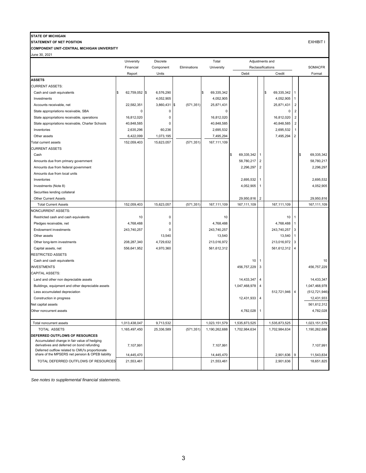#### **STATE OF MICHIGAN**

**STATEMENT OF NET POSITION** EXHIBIT I

**COMPONENT UNIT-CENTRAL MICHIGAN UNIVERSITY**

June 30, 2021

|                                                                                               | University          | <b>Discrete</b> |              | Total         |               | Adjustments and         |                   |                         |                  |
|-----------------------------------------------------------------------------------------------|---------------------|-----------------|--------------|---------------|---------------|-------------------------|-------------------|-------------------------|------------------|
|                                                                                               | Financial           | Component       | Eliminations | University    |               |                         | Reclassifications |                         | SOMACFR          |
|                                                                                               | Report              | Units           |              |               | Debit         |                         | Credit            |                         | Format           |
| <b>ASSETS</b>                                                                                 |                     |                 |              |               |               |                         |                   |                         |                  |
| <b>CURRENT ASSETS:</b>                                                                        |                     |                 |              |               |               |                         |                   |                         |                  |
| Cash and cash equivalents                                                                     | 62,759,052 \$<br>\$ | 6,576,290       |              | 69,335,342    |               |                         | 69,335,342<br>\$  | $\overline{1}$          |                  |
| Investments                                                                                   |                     | 4,052,905       |              | 4,052,905     |               |                         | 4,052,905         | $\mathbf{1}$            |                  |
| Accounts receivable, net                                                                      | 22,582,351          | 3,860,431 \$    | (571, 351)   | 25,871,431    |               |                         | 25,871,431        | $\overline{2}$          |                  |
| State appropriations receivable, SBA                                                          | 0                   | 0               |              | 0             |               |                         | 0                 | $\overline{2}$          |                  |
| State appropriations receivable, operations                                                   | 16,812,020          | 0               |              | 16,812,020    |               |                         | 16,812,020        | $\overline{2}$          |                  |
| State appropriations receivable, Charter Schools                                              | 40,848,585          | 0               |              | 40,848,585    |               |                         | 40,848,585        | $\overline{\mathbf{c}}$ |                  |
| Inventories                                                                                   | 2,635,296           | 60,236          |              | 2,695,532     |               |                         | 2,695,532         | $\mathbf{1}$            |                  |
| Other assets                                                                                  | 6,422,099           | 1,073,195       |              | 7,495,294     |               |                         | 7,495,294         | $\overline{c}$          |                  |
| Total current assets                                                                          | 152,059,403         | 15,623,057      | (571, 351)   | 167, 111, 109 |               |                         |                   |                         |                  |
| <b>CURRENT ASSETS</b>                                                                         |                     |                 |              |               |               |                         |                   |                         |                  |
| Cash                                                                                          |                     |                 |              |               | 69,335,342    | -1                      |                   |                         | 69,335,342<br>\$ |
| Amounts due from primary government                                                           |                     |                 |              |               | 58,780,217    | $\overline{\mathbf{c}}$ |                   |                         | 58,780,217       |
| Amounts due from federal government                                                           |                     |                 |              |               | 2,296,297     | $\overline{2}$          |                   |                         | 2,296,297        |
| Amounts due from local units                                                                  |                     |                 |              |               |               |                         |                   |                         |                  |
| Inventories                                                                                   |                     |                 |              |               | 2,695,532     | 1                       |                   |                         | 2,695,532        |
| Investments (Note 8)                                                                          |                     |                 |              |               | 4,052,905     |                         |                   |                         | 4,052,905        |
| Securities lending collateral                                                                 |                     |                 |              |               |               |                         |                   |                         |                  |
| <b>Other Current Assets</b>                                                                   |                     |                 |              |               | 29,950,816    | $\overline{c}$          |                   |                         | 29,950,816       |
| <b>Total Current Assets</b>                                                                   | 152,059,403         | 15,623,057      | (571, 351)   | 167,111,109   | 167,111,109   |                         | 167,111,109       |                         | 167,111,109      |
| <b>NONCURRENT ASSETS:</b>                                                                     |                     |                 |              |               |               |                         |                   |                         |                  |
| Restricted cash and cash equivalents                                                          | 10                  | 0               |              | 10            |               |                         | 10                | $\mathbf{1}$            |                  |
| Pledges receivable, net                                                                       | 4,768,488           | 0               |              | 4,768,488     |               |                         | 4,768,488         | $\mathbf{1}$            |                  |
| Endowment investments                                                                         | 243,740,257         | 0               |              | 243,740,257   |               |                         | 243,740,257       | 3                       |                  |
| Other assets                                                                                  |                     | 13,540          |              | 13,540        |               |                         | 13,540            | $\mathbf{1}$            |                  |
| Other long-term investments                                                                   | 208,287,340         | 4,729,632       |              | 213,016,972   |               |                         | 213,016,972       | 3                       |                  |
| Capital assets, net                                                                           | 556,641,952         | 4,970,360       |              | 561,612,312   |               |                         | 561,612,312       | $\overline{4}$          |                  |
| <b>RESTRICTED ASSETS</b>                                                                      |                     |                 |              |               |               |                         |                   |                         |                  |
| Cash and cash equivalents                                                                     |                     |                 |              |               | 10            |                         |                   |                         | 10               |
| <b>NVESTMENTS</b>                                                                             |                     |                 |              |               | 456,757,229   | 3                       |                   |                         | 456,757,229      |
| CAPITAL ASSETS:                                                                               |                     |                 |              |               |               |                         |                   |                         |                  |
| Land and other non depreciable assets                                                         |                     |                 |              |               | 14,433,347    | 4                       |                   |                         | 14,433,347       |
| Buildings, equipment and other depreciable assets                                             |                     |                 |              |               | 1,047,468,978 | 4                       |                   |                         | 1,047,468,978    |
| Less accumulated depreciation                                                                 |                     |                 |              |               |               |                         | 512,721,946 4     |                         | (512, 721, 946)  |
| Construction in progress                                                                      |                     |                 |              |               | 12,431,933 4  |                         |                   |                         | 12,431,933       |
| Net capital assets                                                                            |                     |                 |              |               |               |                         |                   |                         | 561,612,312      |
| Other noncurrent assets                                                                       |                     |                 |              |               | 4,782,028     |                         |                   |                         | 4,782,028        |
|                                                                                               |                     |                 |              |               |               |                         |                   |                         |                  |
| Total noncurrent assets                                                                       | 1,013,438,047       | 9,713,532       |              | 1,023,151,579 | 1,535,873,525 |                         | 1,535,873,525     |                         | 1,023,151,579    |
| TOTAL ASSETS                                                                                  | 1,165,497,450       | 25,336,589      | (571, 351)   | 1,190,262,688 | 1,702,984,634 |                         | 1,702,984,634     |                         | 1,190,262,688    |
| <b>DEFERRED OUTFLOWS OF RESOURCES</b>                                                         |                     |                 |              |               |               |                         |                   |                         |                  |
| Accumulated change in fair value of hedging                                                   |                     |                 |              |               |               |                         |                   |                         |                  |
| derivatives and deferred on bond refunding<br>Deferred outflow related to CMU's proportionate | 7,107,991           |                 |              | 7,107,991     |               |                         |                   |                         | 7,107,991        |
| share of the MPSERS net pension & OPEB liability                                              | 14,445,470          |                 |              | 14,445,470    |               |                         | 2,901,636         | 9                       | 11,543,834       |
| TOTAL DEFERRED OUTFLOWS OF RESOURCES                                                          | 21,553,461          |                 |              | 21,553,461    |               |                         | 2,901,636         |                         | 18,651,825       |
|                                                                                               |                     |                 |              |               |               |                         |                   |                         |                  |
|                                                                                               |                     |                 |              |               |               |                         |                   |                         |                  |

*See notes to supplemental financial statements.*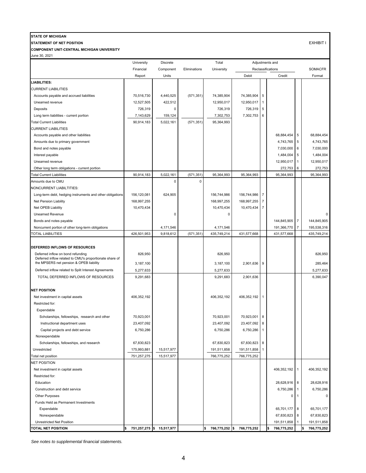#### **STATE OF MICHIGAN**

**STATEMENT OF NET POSITION** EXHIBIT I

**COMPONENT UNIT-CENTRAL MICHIGAN UNIVERSITY**

June 30, 2021

|                                                           | University     | Discrete   |              | Total             | Adjustments and    |              |                   |              |                |
|-----------------------------------------------------------|----------------|------------|--------------|-------------------|--------------------|--------------|-------------------|--------------|----------------|
|                                                           | Financial      | Component  | Eliminations | University        |                    |              | Reclassifications |              | <b>SOMACFR</b> |
|                                                           | Report         | Units      |              |                   | Debit              |              | Credit            |              | Format         |
| LIABILITIES:                                              |                |            |              |                   |                    |              |                   |              |                |
| <b>CURRENT LIABILITIES</b>                                |                |            |              |                   |                    |              |                   |              |                |
| Accounts payable and accrued liabilities                  | 70,516,730     | 4,440,525  | (571, 351)   | 74,385,904        | 74,385,904         | 5            |                   |              |                |
| Unearned revenue                                          | 12,527,505     | 422,512    |              | 12,950,017        | 12,950,017         | 1            |                   |              |                |
| Deposits                                                  | 726,319        | 0          |              | 726,319           | 726,319            | 5            |                   |              |                |
| Long term liabilities - current portion                   | 7,143,629      | 159,124    |              | 7,302,753         | 7,302,753          | 6            |                   |              |                |
| <b>Total Current Liabilities</b>                          | 90,914,183     | 5,022,161  | (571, 351)   | 95,364,993        |                    |              |                   |              |                |
| <b>CURRENT LIABILITIES</b>                                |                |            |              |                   |                    |              |                   |              |                |
| Accounts payable and other liabilities                    |                |            |              |                   |                    |              | 68,884,454        | $\sqrt{5}$   | 68,884,454     |
| Amounts due to primary government                         |                |            |              |                   |                    |              | 4,743,765         | 5            | 4,743,765      |
| Bond and notes payable                                    |                |            |              |                   |                    |              | 7,030,000         | 6            | 7,030,000      |
| Interest payable                                          |                |            |              |                   |                    |              | 1,484,004         | $\sqrt{5}$   | 1,484,004      |
| Unearned revenue                                          |                |            |              |                   |                    |              | 12,950,017        | 1            | 12,950,017     |
| Other long term obligations - current portion             |                |            |              |                   |                    |              | 272,753           | 6            | 272,753        |
| <b>Total Current Liabilities</b>                          | 90,914,183     | 5,022,161  | (571, 351)   | 95,364,993        | 95,364,993         |              | 95,364,993        |              | 95,364,993     |
| Amounts due to CMU                                        |                | $\pmb{0}$  | 0            |                   |                    |              |                   |              |                |
| NONCURRENT LIABILTITIES:                                  |                |            |              |                   |                    |              |                   |              |                |
| Long-term debt, hedging instruments and other obligations | 156,120,081    | 624,905    |              | 156,744,986       | 156,744,986        | 7            |                   |              |                |
| Net Pension Liability                                     | 168,997,255    |            |              | 168,997,255       | 168,997,255        | 7            |                   |              |                |
| Net OPEB Liability                                        | 10,470,434     |            |              | 10,470,434        | 10,470,434         | 7            |                   |              |                |
| <b>Unearned Revenue</b>                                   |                | 0          |              | 0                 |                    |              |                   |              | 0              |
| Bonds and notes payable                                   |                |            |              |                   |                    |              | 144,845,905       | 7            | 144,845,905    |
| Noncurrent portion of other long-term obligations         |                | 4,171,546  |              | 4,171,546         |                    |              | 191,366,770       | 7            | 195,538,316    |
| <b>TOTAL LIABILITIES</b>                                  | 426,501,953    | 9,818,612  | (571, 351)   | 435,749,214       | 431,577,668        |              | 431,577,668       |              | 435,749,214    |
|                                                           |                |            |              |                   |                    |              |                   |              |                |
| <b>DEFERRED INFLOWS OF RESOURCES</b>                      |                |            |              |                   |                    |              |                   |              |                |
| Deferred inflow on bond refunding                         | 826,950        |            |              | 826,950           |                    |              |                   |              | 826,950        |
| Deferred inflow related to CMU's proportionate share of   |                |            |              |                   |                    |              |                   |              |                |
| the MPSERS net pension & OPEB liability                   | 3,187,100      |            |              | 3,187,100         | 2,901,636          | 9            |                   |              | 285,464        |
| Deferred inflow related to Split Interest Agreements      | 5,277,633      |            |              | 5,277,633         |                    |              |                   |              | 5,277,633      |
| TOTAL DEFERRED INFLOWS OF RESOURCES                       | 9,291,683      |            |              | 9,291,683         | 2,901,636          |              |                   |              | 6,390,047      |
|                                                           |                |            |              |                   |                    |              |                   |              |                |
| <b>NET POSITION</b>                                       |                |            |              |                   |                    |              |                   |              |                |
| Net investment in capital assets                          | 406,352,192    |            |              | 406,352,192       | 406,352,192        | -1           |                   |              |                |
| Restricted for:                                           |                |            |              |                   |                    |              |                   |              |                |
| Expendable                                                |                |            |              |                   |                    |              |                   |              |                |
| Scholarships, fellowships, research and other             | 70,923,001     |            |              | 70,923,001        | 70,923,001         | 8            |                   |              |                |
| Instructional department uses                             | 23,407,092     |            |              | 23,407,092        | 23,407,092 8       |              |                   |              |                |
| Capital projects and debt service                         | 6,750,286      |            |              | 6,750,286         | 6,750,286          | $\mathbf{1}$ |                   |              |                |
| Nonexpendable                                             |                |            |              |                   |                    |              |                   |              |                |
| Scholarships, fellowships, and research                   | 67,830,823     |            |              | 67,830,823        | 67,830,823         | 8            |                   |              |                |
| Unrestricted                                              | 175,993,881    | 15,517,977 |              | 191,511,858       | 191,511,858        |              |                   |              |                |
| Total net position                                        | 751,257,275    | 15,517,977 |              | 766,775,252       | 766,775,252        |              |                   |              |                |
| NET POSITION                                              |                |            |              |                   |                    |              |                   |              |                |
| Net investment in capital assets                          |                |            |              |                   |                    |              | 406,352,192       | 1            | 406,352,192    |
| Restricted for:                                           |                |            |              |                   |                    |              |                   |              |                |
| Education                                                 |                |            |              |                   |                    |              | 28,628,916        | 8            | 28,628,916     |
| Construction and debt service                             |                |            |              |                   |                    |              | 6,750,286         | $\mathbf{1}$ | 6,750,286      |
| Other Purposes                                            |                |            |              |                   |                    |              | 0                 | $\mathbf{1}$ | 0              |
| Funds Held as Permanent Investments                       |                |            |              |                   |                    |              |                   |              |                |
| Expendable                                                |                |            |              |                   |                    |              | 65,701,177        | 8            | 65,701,177     |
| Nonexpendable                                             |                |            |              |                   |                    |              | 67,830,823        | 8            | 67,830,823     |
| Unrestricted Net Position                                 |                |            |              |                   |                    |              | 191,511,858       | 1            | 191,511,858    |
| <b>TOTAL NET POSITION</b>                                 | 751,257,275 \$ | 15,517,977 |              | 766,775,252<br>\$ | 766,775,252<br>I\$ |              | 766,775,252       |              | 766,775,252    |

*See notes to supplemental financial statements.*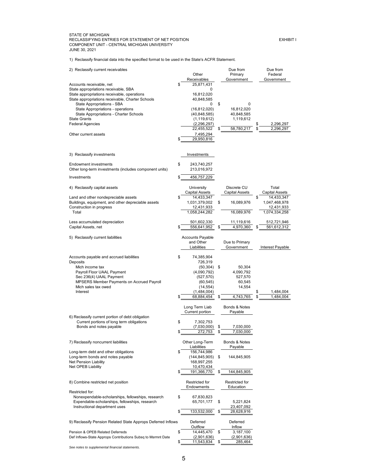#### STATE OF MICHIGAN RECLASSIFYING ENTRIES FOR STATEMENT OF NET POSITION EXHIBIT I COMPONENT UNIT - CENTRAL MICHIGAN UNIVERSITY JUNE 30, 2021

1) Reclassify financial data into the specified format to be used in the State's ACFR Statement.

| 2) Reclassify current receivables                                               |                                 | Due from                      | Due from                    |  |  |  |
|---------------------------------------------------------------------------------|---------------------------------|-------------------------------|-----------------------------|--|--|--|
|                                                                                 | Other                           | Primary                       | Federal                     |  |  |  |
| Accounts receivable, net                                                        | \$<br>Receivables<br>25,871,431 | Government                    | Government                  |  |  |  |
| State appropriations receivable, SBA                                            | 0                               |                               |                             |  |  |  |
| State appropriations receivable, operations                                     | 16,812,020                      |                               |                             |  |  |  |
| State appropriations receivable, Charter Schools                                | 40,848,585                      |                               |                             |  |  |  |
| State Appropriations - SBA                                                      | 0                               | \$<br>0                       |                             |  |  |  |
| State Appropriations - operations                                               | (16, 812, 020)                  | 16,812,020                    |                             |  |  |  |
| State Appropriations - Charter Schools<br><b>State Grants</b>                   | (40, 848, 585)<br>(1, 119, 612) | 40,848,585<br>1,119,612       |                             |  |  |  |
| <b>Federal Agencies</b>                                                         | (2,296,297)                     |                               | \$<br>2,296,297             |  |  |  |
|                                                                                 | 22,455,522                      | \$<br>58,780,217              | 2,296,297                   |  |  |  |
| Other current assets                                                            | 7,495,294                       |                               |                             |  |  |  |
|                                                                                 | \$<br>29,950,816                |                               |                             |  |  |  |
| 3) Reclassify investments                                                       | Investments                     |                               |                             |  |  |  |
| <b>Endowment investments</b>                                                    | \$<br>243,740,257               |                               |                             |  |  |  |
| Other long-term investments (includes component units)                          | 213,016,972                     |                               |                             |  |  |  |
| Investments                                                                     | \$<br>456,757,229               |                               |                             |  |  |  |
| 4) Reclassify capital assets                                                    | University                      | Discrete CU                   | Total                       |  |  |  |
|                                                                                 | <b>Capital Assets</b>           | <b>Capital Assets</b>         | <b>Capital Assets</b>       |  |  |  |
| Land and other nondepreciable assets                                            | \$<br>14,433,347                |                               | \$<br>14,433,347            |  |  |  |
| Buildings, equipment, and other depreciable assets                              | 1,031,379,002                   | \$<br>16,089,976              | 1,047,468,978               |  |  |  |
| Construction in progress<br>Total                                               | 12,431,933<br>1,058,244,282     | 16,089,976                    | 12,431,933<br>1,074,334,258 |  |  |  |
|                                                                                 |                                 |                               |                             |  |  |  |
| Less accumulated depreciation                                                   | 501,602,330                     | 11,119,616                    | 512,721,946                 |  |  |  |
| Capital Assets, net                                                             | 556,641,952                     | \$<br>4,970,360               | 561,612,312                 |  |  |  |
| 5) Reclassify current liabilities                                               | <b>Accounts Payable</b>         |                               |                             |  |  |  |
|                                                                                 | and Other                       | Due to Primary                |                             |  |  |  |
|                                                                                 | Liabilities                     | Government                    | Interest Payable            |  |  |  |
|                                                                                 | \$                              |                               |                             |  |  |  |
| Accounts payable and accrued liabilities<br>Deposits                            | 74,385,904<br>726,319           |                               |                             |  |  |  |
| Mich income tax                                                                 | (50, 304)                       | \$<br>50,304                  |                             |  |  |  |
| Payroll Floor UAAL Payment                                                      | (4,090,792)                     | 4,090,792                     |                             |  |  |  |
| Sec 236(4) UAAL Payment                                                         | (527, 570)                      | 527,570                       |                             |  |  |  |
| MPSERS Member Payments on Accrued Payroll                                       | (60, 545)                       | 60,545                        |                             |  |  |  |
| Mich sales tax owed<br>Interest                                                 | (14, 554)<br>(1,484,004)        | 14,554                        | \$<br>1,484,004             |  |  |  |
|                                                                                 | 68,884,454                      | \$<br>4,743,765               | \$<br>1,484,004             |  |  |  |
|                                                                                 |                                 |                               |                             |  |  |  |
|                                                                                 | Long Term Liab                  | Bonds & Notes                 |                             |  |  |  |
| 6) Reclassify current portion of debt obligation                                | Current portion                 | Payable                       |                             |  |  |  |
| Current portions of long term obligations                                       | \$<br>7,302,753                 |                               |                             |  |  |  |
| Bonds and notes payable                                                         | (7,030,000)                     | \$<br>7,030,000               |                             |  |  |  |
|                                                                                 | \$<br>272,753                   | \$<br>7,030,000               |                             |  |  |  |
|                                                                                 |                                 |                               |                             |  |  |  |
| 7) Reclassify noncurrent liabilities                                            | Other Long-Term<br>Liabilities  | Bonds & Notes<br>Payable      |                             |  |  |  |
| Long-term debt and other obligations                                            | \$<br>156,744,986               |                               |                             |  |  |  |
| Long-term bonds and notes payable                                               | (144,845,905)                   | \$<br>144,845,905             |                             |  |  |  |
| Net Pension Liability                                                           | 168,997,255                     |                               |                             |  |  |  |
| Net OPEB Liability                                                              | 10,470,434                      |                               |                             |  |  |  |
|                                                                                 | \$<br>191,366,770               | \$<br>144,845,905             |                             |  |  |  |
| 8) Combine restricted net position                                              | Restricted for                  | Restricted for                |                             |  |  |  |
|                                                                                 | Endowments                      | Education                     |                             |  |  |  |
| Restricted for:                                                                 |                                 |                               |                             |  |  |  |
| Nonexpendable-scholarships, fellowships, research                               | \$<br>67,830,823                |                               |                             |  |  |  |
| Expendable-scholarships, fellowships, research<br>Instructional department uses | 65,701,177                      | \$<br>5,221,824<br>23,407,092 |                             |  |  |  |
|                                                                                 | \$<br>133,532,000               | \$<br>28,628,916              |                             |  |  |  |
| 9) Reclassify Pension Related State Approps Deferred Inflows                    | Deferred                        | Deferred                      |                             |  |  |  |
|                                                                                 | Outflow                         | Inflow                        |                             |  |  |  |
| Pension & OPEB Related Deferreds                                                | \$<br>14,445,470                | \$<br>3,187,100               |                             |  |  |  |
| Def Inflows-State Approps Contributions Subsq to Msrmnt Date                    | (2,901,636)                     | (2,901,636)                   |                             |  |  |  |
|                                                                                 | \$<br>11,543,834                | \$<br>285,464                 |                             |  |  |  |

*See notes to supplemental financial statements.*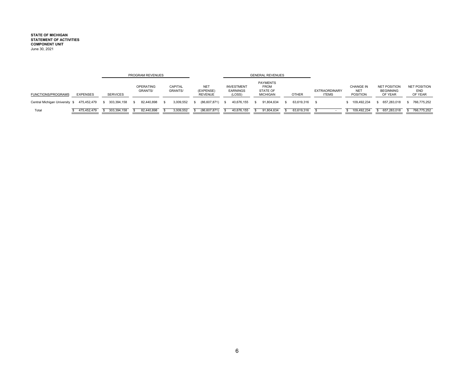#### **STATE OF MICHIGAN STATEMENT OF ACTIVITIES COMPONENT UNIT** June 30, 2021

|                                |                 |                     | PROGRAM REVENUES                                                                                                                                                                                                                                   |           |              |                             | <b>GENERAL REVENUES</b> |                                      |                                                        |                                                    |                                              |             |
|--------------------------------|-----------------|---------------------|----------------------------------------------------------------------------------------------------------------------------------------------------------------------------------------------------------------------------------------------------|-----------|--------------|-----------------------------|-------------------------|--------------------------------------|--------------------------------------------------------|----------------------------------------------------|----------------------------------------------|-------------|
| FUNCTIONS/PROGRAMS             | <b>EXPENSES</b> | <b>SERVICES</b>     | <b>PAYMENTS</b><br><b>OPERATING</b><br><b>CAPITAL</b><br><b>INVESTMENT</b><br><b>FROM</b><br>NE <sup>-</sup><br><b>GRANTS/</b><br><b>GRANTS/</b><br>(EXPENSE)<br><b>EARNINGS</b><br><b>STATE OF</b><br>(LOSS)<br><b>MICHIGAN</b><br><b>REVENUE</b> |           |              |                             | <b>OTHER</b>            | <b>EXTRAORDINARY</b><br><b>ITEMS</b> | <b>CHANGE IN</b><br>NE <sub>1</sub><br><b>POSITION</b> | <b>NET POSITION</b><br><b>BEGINNING</b><br>OF YEAR | <b>NET POSITION</b><br><b>END</b><br>OF YEAR |             |
| Central Michigan University \$ | 475,452,479     | 303,394,158<br>- 55 | 82.440.898                                                                                                                                                                                                                                         | 3,009,552 | (86,607,871) | 40,676,155<br>$\mathcal{L}$ | 91.804.634              | 63.619.316                           |                                                        | 109.492.234                                        | 657.283.018                                  | 766,775,252 |
| Total                          | 475.452.479     | 303.394.158         | 82.440.898                                                                                                                                                                                                                                         | 3.009.552 | (86.607.871) | 40.676.155                  | 91.804.634              | 63.619.316                           |                                                        | 109.492.234                                        | 657.283.018                                  | 766.775.252 |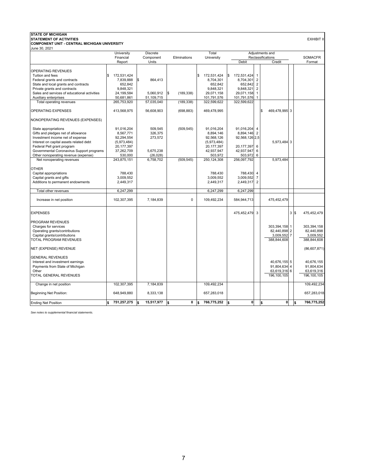|                                              | University        | <b>Discrete</b>  |                   | Total             |                | Adjustments and |     |                   |                |                    |
|----------------------------------------------|-------------------|------------------|-------------------|-------------------|----------------|-----------------|-----|-------------------|----------------|--------------------|
|                                              | Financial         | Component        | Eliminations      | University        |                |                 |     | Reclassifications |                | <b>SOMACFR</b>     |
|                                              | Report            | Units            |                   |                   | Debit          |                 |     | Credit            |                | Format             |
| OPERATING REVENUES                           |                   |                  |                   |                   |                |                 |     |                   |                |                    |
| Tuition and fees                             | \$<br>172,531,424 |                  |                   | \$<br>172,531,424 | 172,531,424    | $\mathbf 1$     |     |                   |                |                    |
| Federal grants and contracts                 | 7,839,888         | \$<br>864,413    |                   | 8,704,301         | 8,704,301      | $\overline{2}$  |     |                   |                |                    |
| State and local grants and contracts         | 652,842           |                  |                   | 652,842           | 652,842        | $\overline{2}$  |     |                   |                |                    |
| Private grants and contracts                 | 9,848,321         |                  |                   | 9,848,321         | 9,848,321      | $\overline{2}$  |     |                   |                |                    |
| Sales and services of educational activities | 24,199,584        | 5,060,912        | \$<br>(189, 338)  | 29,071,158        | 29,071,158     | $\overline{1}$  |     |                   |                |                    |
| Auxiliary enterprises                        | 50,681,861        | 51,109,715       |                   | 101,791,576       | 101,791,576    | 1               |     |                   |                |                    |
| Total operating revenues                     | 265,753,920       | 57,035,040       | (189, 338)        | 322,599,622       | 322,599,622    |                 |     |                   |                |                    |
|                                              |                   |                  |                   |                   |                |                 |     |                   |                |                    |
| OPERATING EXPENSES                           | 413,568,975       | 56,608,903       | (698, 883)        | 469,478,995       |                |                 | \$  | 469,478,995 3     |                |                    |
| NONOPERATING REVENUES (EXPENSES)             |                   |                  |                   |                   |                |                 |     |                   |                |                    |
| State appropriations                         | 91,016,204        | 509.545          | (509, 545)        | 91.016.204        | 91,016,204 4   |                 |     |                   |                |                    |
| Gifts and pledges net of allowance           | 8,567,771         | 326,375          |                   | 8,894,146         | 8,894,146      | $\overline{2}$  |     |                   |                |                    |
| Investment income net of expense             | 92,294,554        | 273,572          |                   | 92,568,126        | 92,568,126 2,5 |                 |     |                   |                |                    |
| Interest on capital assets related debt      | (5,973,484)       |                  |                   | (5,973,484)       |                |                 |     | 5,973,484 3       |                |                    |
| Federal Pell grant program                   | 20, 177, 397      |                  |                   | 20,177,397        | 20,177,397 6   |                 |     |                   |                |                    |
| Governmental Coronavirus Support programs    | 37,262,709        | 5,675,238        |                   | 42,937,947        | 42,937,947     | 6               |     |                   |                |                    |
| Other nonoperating revenue (expense)         | 530,000           | (26, 028)        |                   | 503,972           | 503,972        | 6               |     |                   |                |                    |
| Net nonoperating revenues                    | 243,875,151       | 6,758,702        | (509, 545)        | 250,124,308       | 256,097,792    |                 |     | 5,973,484         |                |                    |
|                                              |                   |                  |                   |                   |                |                 |     |                   |                |                    |
| <b>OTHER</b>                                 |                   |                  |                   |                   |                |                 |     |                   |                |                    |
| Capital appropriations                       | 788,430           |                  |                   | 788,430           | 788,430 4      |                 |     |                   |                |                    |
| Capital grants and gifts                     | 3.009.552         |                  |                   | 3.009.552         | 3,009,552 7    |                 |     |                   |                |                    |
| Additions to permanent endowments            | 2,449,317         |                  |                   | 2,449,317         | 2,449,317 2    |                 |     |                   |                |                    |
|                                              |                   |                  |                   |                   |                |                 |     |                   |                |                    |
| Total other revenues                         | 6,247,299         |                  |                   | 6,247,299         | 6,247,299      |                 |     |                   |                |                    |
|                                              |                   |                  |                   |                   |                |                 |     |                   |                |                    |
| Increase in net position                     | 102,307,395       | 7,184,839        | $\mathbf 0$       | 109,492,234       | 584,944,713    |                 |     | 475,452,479       |                |                    |
| <b>EXPENSES</b>                              |                   |                  |                   |                   | 475,452,479 3  |                 |     |                   | $3\sqrt{3}$    | 475,452,479        |
|                                              |                   |                  |                   |                   |                |                 |     |                   |                |                    |
| PROGRAM REVENUES                             |                   |                  |                   |                   |                |                 |     |                   |                |                    |
| Charges for services                         |                   |                  |                   |                   |                |                 |     | 303,394,158 1     |                | 303,394,158        |
| Operating grants/contributions               |                   |                  |                   |                   |                |                 |     | 82,440,898 2      |                | 82,440,898         |
| Capital grants/contributions                 |                   |                  |                   |                   |                |                 |     | 3,009,552         | $\overline{7}$ | 3,009,552          |
| TOTAL PROGRAM REVENUES                       |                   |                  |                   |                   |                |                 |     | 388,844,608       |                | 388,844,608        |
|                                              |                   |                  |                   |                   |                |                 |     |                   |                |                    |
| NET (EXPENSE) REVENUE                        |                   |                  |                   |                   |                |                 |     |                   |                | (86, 607, 871)     |
| <b>GENERAL REVENUES</b>                      |                   |                  |                   |                   |                |                 |     |                   |                |                    |
| Interest and investment earnings             |                   |                  |                   |                   |                |                 |     | 40,676,155 5      |                | 40,676,155         |
| Payments from State of Michigan              |                   |                  |                   |                   |                |                 |     | 91,804,634 4      |                | 91,804,634         |
| Other                                        |                   |                  |                   |                   |                |                 |     | 63,619,316 6      |                | 63,619,316         |
| TOTAL GENERAL REVENUES                       |                   |                  |                   |                   |                |                 |     | 196,100,105       |                | 196,100,105        |
| Change in net position                       | 102,307,395       | 7,184,839        |                   | 109,492,234       |                |                 |     |                   |                | 109,492,234        |
|                                              |                   |                  |                   |                   |                |                 |     |                   |                |                    |
| Beginning Net Position:                      | 648,949,880       | 8,333,138        |                   | 657,283,018       |                |                 |     |                   |                | 657,283,018        |
| <b>Ending Net Position</b>                   | \$<br>751,257,275 | \$<br>15,517,977 | \$<br>$\mathbf 0$ | \$<br>766,775,252 | $\mathbf{0}$   |                 | l\$ | 0                 |                | 766,775,252<br>l\$ |

#### *See notes to supplemental financial statements.*

**STATE OF MICHIGAN STATEMENT OF ACTIVITIES** EXHIBIT II **COMPONENT UNIT - CENTRAL MICHIGAN UNIVERSITY** June 30, 2021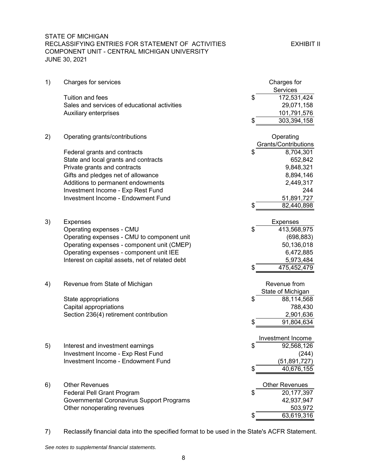| 1) | Charges for services                            | Charges for                 |
|----|-------------------------------------------------|-----------------------------|
|    |                                                 | Services                    |
|    | <b>Tuition and fees</b>                         | \$<br>172,531,424           |
|    | Sales and services of educational activities    | 29,071,158                  |
|    | <b>Auxiliary enterprises</b>                    | 101,791,576                 |
|    |                                                 | \$<br>303,394,158           |
|    |                                                 |                             |
| 2) | Operating grants/contributions                  | Operating                   |
|    |                                                 | <b>Grants/Contributions</b> |
|    | Federal grants and contracts                    | \$<br>8,704,301             |
|    | State and local grants and contracts            | 652,842                     |
|    | Private grants and contracts                    | 9,848,321                   |
|    | Gifts and pledges net of allowance              | 8,894,146                   |
|    | Additions to permanent endowments               | 2,449,317                   |
|    | Investment Income - Exp Rest Fund               | 244                         |
|    | Investment Income - Endowment Fund              | 51,891,727                  |
|    |                                                 | \$<br>82,440,898            |
|    |                                                 |                             |
| 3) | <b>Expenses</b>                                 | <b>Expenses</b>             |
|    | Operating expenses - CMU                        | \$<br>413,568,975           |
|    | Operating expenses - CMU to component unit      | (698, 883)                  |
|    | Operating expenses - component unit (CMEP)      | 50,136,018                  |
|    | Operating expenses - component unit IEE         | 6,472,885                   |
|    | Interest on capital assets, net of related debt | 5,973,484                   |
|    |                                                 | \$<br>475,452,479           |
|    |                                                 |                             |
| 4) | Revenue from State of Michigan                  | Revenue from                |
|    |                                                 | State of Michigan           |
|    | State appropriations                            | \$<br>88,114,568            |
|    | Capital appropriations                          | 788,430                     |
|    | Section 236(4) retirement contribution          | 2,901,636                   |
|    |                                                 | \$<br>91,804,634            |
|    |                                                 |                             |
|    |                                                 | Investment Income           |
| 5) | Interest and investment earnings                | \$<br>92,568,126            |
|    | Investment Income - Exp Rest Fund               | (244)                       |
|    | Investment Income - Endowment Fund              | (51, 891, 727)              |
|    |                                                 | 40,676,155                  |
|    |                                                 |                             |
| 6) | <b>Other Revenues</b>                           | <b>Other Revenues</b>       |
|    | Federal Pell Grant Program                      | \$<br>20, 177, 397          |
|    | Governmental Coronavirus Support Programs       | 42,937,947                  |
|    | Other nonoperating revenues                     | 503,972                     |
|    |                                                 | \$<br>63,619,316            |
|    |                                                 |                             |

7) Reclassify financial data into the specified format to be used in the State's ACFR Statement.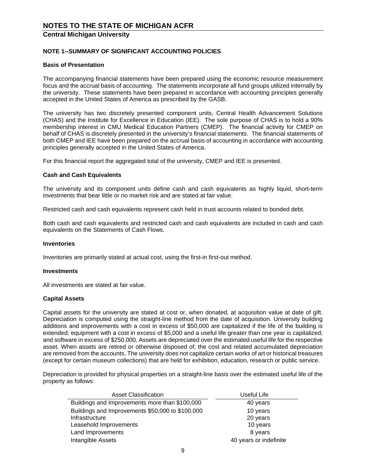### **NOTE 1--SUMMARY OF SIGNIFICANT ACCOUNTING POLICIES**

### **Basis of Presentation**

The accompanying financial statements have been prepared using the economic resource measurement focus and the accrual basis of accounting. The statements incorporate all fund groups utilized internally by the university. These statements have been prepared in accordance with accounting principles generally accepted in the United States of America as prescribed by the GASB.

The university has two discretely presented component units, Central Health Advancement Solutions (CHAS) and the Institute for Excellence in Education (IEE). The sole purpose of CHAS is to hold a 90% membership interest in CMU Medical Education Partners (CMEP). The financial activity for CMEP on behalf of CHAS is discretely presented in the university's financial statements. The financial statements of both CMEP and IEE have been prepared on the accrual basis of accounting in accordance with accounting principles generally accepted in the United States of America.

For this financial report the aggregated total of the university, CMEP and IEE is presented.

#### **Cash and Cash Equivalents**

The university and its component units define cash and cash equivalents as highly liquid, short-term investments that bear little or no market risk and are stated at fair value.

Restricted cash and cash equivalents represent cash held in trust accounts related to bonded debt.

Both cash and cash equivalents and restricted cash and cash equivalents are included in cash and cash equivalents on the Statements of Cash Flows.

#### **Inventories**

Inventories are primarily stated at actual cost, using the first-in first-out method.

#### **Investments**

All investments are stated at fair value.

#### **Capital Assets**

Capital assets for the university are stated at cost or, when donated, at acquisition value at date of gift. Depreciation is computed using the straight-line method from the date of acquisition. University building additions and improvements with a cost in excess of \$50,000 are capitalized if the life of the building is extended; equipment with a cost in excess of \$5,000 and a useful life greater than one year is capitalized; and software in excess of \$250,000. Assets are depreciated over the estimated useful life for the respective asset. When assets are retired or otherwise disposed of, the cost and related accumulated depreciation are removed from the accounts. The university does not capitalize certain works of art or historical treasures (except for certain museum collections) that are held for exhibition, education, research or public service.

Depreciation is provided for physical properties on a straight-line basis over the estimated useful life of the property as follows:

| <b>Asset Classification</b>                      | Useful Life            |
|--------------------------------------------------|------------------------|
| Buildings and Improvements more than \$100,000   | 40 years               |
| Buildings and Improvements \$50,000 to \$100,000 | 10 years               |
| Infrastructure                                   | 20 years               |
| Leasehold Improvements                           | 10 years               |
| Land Improvements                                | 8 years                |
| Intangible Assets                                | 40 years or indefinite |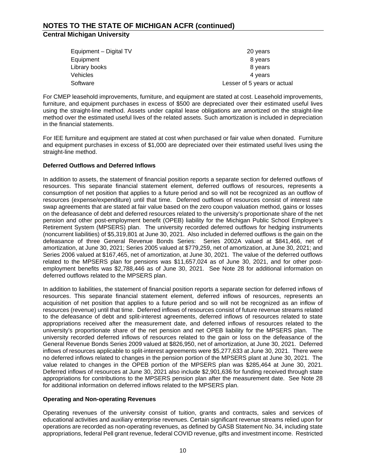| Equipment - Digital TV | 20 years                    |
|------------------------|-----------------------------|
| Equipment              | 8 years                     |
| Library books          | 8 years                     |
| Vehicles               | 4 years                     |
| Software               | Lesser of 5 years or actual |

For CMEP leasehold improvements, furniture, and equipment are stated at cost. Leasehold improvements, furniture, and equipment purchases in excess of \$500 are depreciated over their estimated useful lives using the straight-line method. Assets under capital lease obligations are amortized on the straight-line method over the estimated useful lives of the related assets. Such amortization is included in depreciation in the financial statements.

For IEE furniture and equipment are stated at cost when purchased or fair value when donated. Furniture and equipment purchases in excess of \$1,000 are depreciated over their estimated useful lives using the straight-line method.

### **Deferred Outflows and Deferred Inflows**

In addition to assets, the statement of financial position reports a separate section for deferred outflows of resources. This separate financial statement element, deferred outflows of resources, represents a consumption of net position that applies to a future period and so will not be recognized as an outflow of resources (expense/expenditure) until that time. Deferred outflows of resources consist of interest rate swap agreements that are stated at fair value based on the zero coupon valuation method, gains or losses on the defeasance of debt and deferred resources related to the university's proportionate share of the net pension and other post-employment benefit (OPEB) liability for the Michigan Public School Employee's Retirement System (MPSERS) plan. The university recorded deferred outflows for hedging instruments (noncurrent liabilities) of \$5,319,801 at June 30, 2021. Also included in deferred outflows is the gain on the defeasance of three General Revenue Bonds Series: Series 2002A valued at \$841,466, net of amortization, at June 30, 2021; Series 2005 valued at \$779,259, net of amortization, at June 30, 2021; and Series 2006 valued at \$167,465, net of amortization, at June 30, 2021. The value of the deferred outflows related to the MPSERS plan for pensions was \$11,657,024 as of June 30, 2021, and for other postemployment benefits was \$2,788,446 as of June 30, 2021. See Note 28 for additional information on deferred outflows related to the MPSERS plan.

In addition to liabilities, the statement of financial position reports a separate section for deferred inflows of resources. This separate financial statement element, deferred inflows of resources, represents an acquisition of net position that applies to a future period and so will not be recognized as an inflow of resources (revenue) until that time. Deferred inflows of resources consist of future revenue streams related to the defeasance of debt and split-interest agreements, deferred inflows of resources related to state appropriations received after the measurement date, and deferred inflows of resources related to the university's proportionate share of the net pension and net OPEB liability for the MPSERS plan. The university recorded deferred inflows of resources related to the gain or loss on the defeasance of the General Revenue Bonds Series 2009 valued at \$826,950, net of amortization, at June 30, 2021. Deferred inflows of resources applicable to split-interest agreements were \$5,277,633 at June 30, 2021. There were no deferred inflows related to changes in the pension portion of the MPSERS plant at June 30, 2021. The value related to changes in the OPEB portion of the MPSERS plan was \$285,464 at June 30, 2021. Deferred inflows of resources at June 30, 2021 also include \$2,901,636 for funding received through state appropriations for contributions to the MPSERS pension plan after the measurement date. See Note 28 for additional information on deferred inflows related to the MPSERS plan.

### **Operating and Non-operating Revenues**

Operating revenues of the university consist of tuition, grants and contracts, sales and services of educational activities and auxiliary enterprise revenues. Certain significant revenue streams relied upon for operations are recorded as non-operating revenues, as defined by GASB Statement No. 34, including state appropriations, federal Pell grant revenue, federal COVID revenue, gifts and investment income. Restricted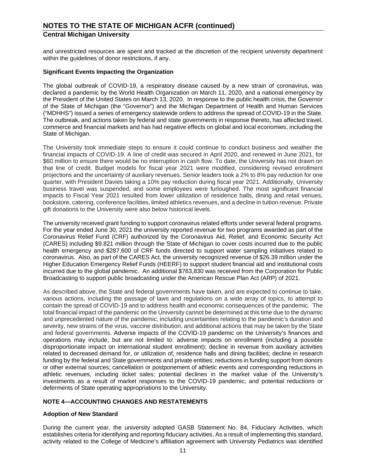and unrestricted resources are spent and tracked at the discretion of the recipient university department within the guidelines of donor restrictions, if any.

### **Significant Events Impacting the Organization**

The global outbreak of COVID-19, a respiratory disease caused by a new strain of coronavirus, was declared a pandemic by the World Health Organization on March 11, 2020, and a national emergency by the President of the United States on March 13, 2020. In response to the public health crisis, the Governor of the State of Michigan (the "Governor") and the Michigan Department of Health and Human Services ("MDHHS") issued a series of emergency statewide orders to address the spread of COVID-19 in the State. The outbreak, and actions taken by federal and state governments in response thereto, has affected travel, commerce and financial markets and has had negative effects on global and local economies, including the State of Michigan.

The University took immediate steps to ensure it could continue to conduct business and weather the financial impacts of COVID-19. A line of credit was secured in April 2020, and renewed in June 2021, for \$60 million to ensure there would be no interruption in cash flow. To date, the University has not drawn on that line of credit. Budget models for fiscal year 2021 were modified, considering revised enrollment projections and the uncertainty of auxiliary revenues. Senior leaders took a 2% to 8% pay reduction for one quarter, with President Davies taking a 10% pay reduction during fiscal year 2021. Additionally, University business travel was suspended, and some employees were furloughed. The most significant financial impacts to Fiscal Year 2021 resulted from lower utilization of residence halls, dining and retail venues, bookstore, catering, conference facilities, limited athletics revenues, and a decline in tuition revenue. Private gift donations to the University were also below historical levels.

The university received grant funding to support coronavirus related efforts under several federal programs. For the year ended June 30, 2021 the university reported revenue for two programs awarded as part of the Coronavirus Relief Fund (CRF) authorized by the Coronavirus Aid, Relief, and Economic Security Act (CARES) including \$9.821 million through the State of Michigan to cover costs incurred due to the public health emergency and \$287,600 of CRF funds directed to support water sampling initiatives related to coronavirus. Also, as part of the CARES Act, the university recognized revenue of \$26.39 million under the Higher Education Emergency Relief Funds (HEERF) to support student financial aid and institutional costs incurred due to the global pandemic. An additional \$763,830 was received from the Corporation for Public Broadcasting to support public broadcasting under the American Rescue Plan Act (ARP) of 2021.

As described above, the State and federal governments have taken, and are expected to continue to take, various actions, including the passage of laws and regulations on a wide array of topics, to attempt to contain the spread of COVID-19 and to address health and economic consequences of the pandemic. The total financial impact of the pandemic on the University cannot be determined at this time due to the dynamic and unprecedented nature of the pandemic, including uncertainties relating to the pandemic's duration and severity, new strains of the virus, vaccine distribution, and additional actions that may be taken by the State and federal governments. Adverse impacts of the COVID-19 pandemic on the University's finances and operations may include, but are not limited to: adverse impacts on enrollment (including a possible disproportionate impact on international student enrollment); decline in revenue from auxiliary activities related to decreased demand for, or utilization of, residence halls and dining facilities; decline in research funding by the federal and State governments and private entities; reductions in funding support from donors or other external sources; cancellation or postponement of athletic events and corresponding reductions in athletic revenues, including ticket sales; potential declines in the market value of the University's investments as a result of market responses to the COVID-19 pandemic; and potential reductions or deferments of State operating appropriations to the University.

### **NOTE 4—ACCOUNTING CHANGES AND RESTATEMENTS**

### **Adoption of New Standard**

During the current year, the university adopted GASB Statement No. 84, Fiduciary Activities, which establishes criteria for identifying and reporting fiduciary activities. As a result of implementing this standard, activity related to the College of Medicine's affiliation agreement with University Pediatrics was identified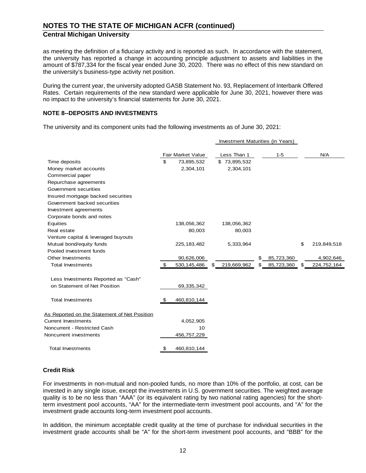as meeting the definition of a fiduciary activity and is reported as such. In accordance with the statement, the university has reported a change in accounting principle adjustment to assets and liabilities in the amount of \$787,334 for the fiscal year ended June 30, 2020. There was no effect of this new standard on the university's business-type activity net position.

During the current year, the university adopted GASB Statement No. 93, Replacement of Interbank Offered Rates. Certain requirements of the new standard were applicable for June 30, 2021, however there was no impact to the university's financial statements for June 30, 2021.

### **NOTE 8--DEPOSITS AND INVESTMENTS**

The university and its component units had the following investments as of June 30, 2021:

|                                              |     |                   | Investment Maturities (in Years) |     |            |                   |
|----------------------------------------------|-----|-------------------|----------------------------------|-----|------------|-------------------|
|                                              |     | Fair Market Value | Less Than 1                      |     | $1 - 5$    | N/A               |
| Time deposits                                | \$  | 73,895,532        | \$73,895,532                     |     |            |                   |
| Money market accounts                        |     | 2,304,101         | 2,304,101                        |     |            |                   |
| Commercial paper                             |     |                   |                                  |     |            |                   |
| Repurchase agreements                        |     |                   |                                  |     |            |                   |
| Government securities                        |     |                   |                                  |     |            |                   |
| Insured mortgage backed securities           |     |                   |                                  |     |            |                   |
| Government backed securities                 |     |                   |                                  |     |            |                   |
| Investment agreements                        |     |                   |                                  |     |            |                   |
| Corporate bonds and notes                    |     |                   |                                  |     |            |                   |
| Equities                                     |     | 138,056,362       | 138,056,362                      |     |            |                   |
| Real estate                                  |     | 80,003            | 80,003                           |     |            |                   |
| Venture capital & leveraged buyouts          |     |                   |                                  |     |            |                   |
| Mutual bond/equity funds                     |     | 225, 183, 482     | 5,333,964                        |     |            | \$<br>219,849,518 |
| Pooled investment funds                      |     |                   |                                  |     |            |                   |
| Other Investments                            |     | 90,626,006        |                                  | \$  | 85,723,360 | 4,902,646         |
| <b>Total Investments</b>                     | \$  | 530, 145, 486     | \$<br>219,669,962                | \$. | 85,723,360 | \$<br>224,752,164 |
| Less Investments Reported as "Cash"          |     |                   |                                  |     |            |                   |
| on Statement of Net Position                 |     | 69,335,342        |                                  |     |            |                   |
| <b>Total Investments</b>                     | -\$ | 460,810,144       |                                  |     |            |                   |
| As Reported on the Statement of Net Position |     |                   |                                  |     |            |                   |
| <b>Current Investments</b>                   |     | 4,052,905         |                                  |     |            |                   |
| Noncurrent - Restricted Cash                 |     | 10                |                                  |     |            |                   |
| Noncurrent investments                       |     | 456,757,229       |                                  |     |            |                   |
| <b>Total Investments</b>                     | \$  | 460,810,144       |                                  |     |            |                   |

### **Credit Risk**

For investments in non-mutual and non-pooled funds, no more than 10% of the portfolio, at cost, can be invested in any single issue, except the investments in U.S. government securities. The weighted average quality is to be no less than "AAA" (or its equivalent rating by two national rating agencies) for the shortterm investment pool accounts, "AA" for the intermediate-term investment pool accounts, and "A" for the investment grade accounts long-term investment pool accounts.

In addition, the minimum acceptable credit quality at the time of purchase for individual securities in the investment grade accounts shall be "A" for the short-term investment pool accounts, and "BBB" for the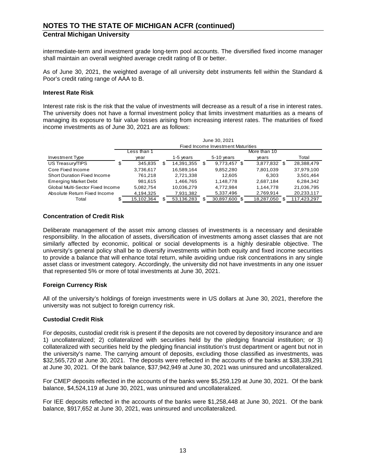intermediate-term and investment grade long-term pool accounts. The diversified fixed income manager shall maintain an overall weighted average credit rating of B or better.

As of June 30, 2021, the weighted average of all university debt instruments fell within the Standard & Poor's credit rating range of AAA to B.

### **Interest Rate Risk**

Interest rate risk is the risk that the value of investments will decrease as a result of a rise in interest rates. The university does not have a formal investment policy that limits investment maturities as a means of managing its exposure to fair value losses arising from increasing interest rates. The maturities of fixed income investments as of June 30, 2021 are as follows:

|                                    |   | June 30, 2021 |   |            |     |                                           |  |                |  |             |  |  |  |  |
|------------------------------------|---|---------------|---|------------|-----|-------------------------------------------|--|----------------|--|-------------|--|--|--|--|
|                                    |   |               |   |            |     | <b>Fixed Income Investment Maturities</b> |  |                |  |             |  |  |  |  |
|                                    |   | Less than 1   |   |            |     |                                           |  | More than 10   |  |             |  |  |  |  |
| Investment Type                    |   | vear          |   | 1-5 years  |     | $5-10$ years                              |  | vears          |  | Total       |  |  |  |  |
| US Treasury/TIPS                   | S | 345,835       | S | 14,391,355 | - 5 | 9,773,457 \$                              |  | 3,877,832<br>S |  | 28,388,479  |  |  |  |  |
| Core Fixed Income                  |   | 3,736,617     |   | 16,589,164 |     | 9,852,280                                 |  | 7,801,039      |  | 37,979,100  |  |  |  |  |
| <b>Short Duration Fixed Income</b> |   | 761,218       |   | 2,721,338  |     | 12,605                                    |  | 6,303          |  | 3,501,464   |  |  |  |  |
| <b>Emerging Market Debt</b>        |   | 981.615       |   | 1,466,765  |     | 1,148,778                                 |  | 2,687,184      |  | 6,284,342   |  |  |  |  |
| Global Multi-Sector Fixed Income   |   | 5,082,754     |   | 10,036,279 |     | 4.772.984                                 |  | 1,144,778      |  | 21,036,795  |  |  |  |  |
| Absolute Return Fixed Income       |   | 4,194,325     |   | 7,931,382  |     | 5,337,496                                 |  | 2,769,914      |  | 20,233,117  |  |  |  |  |
| Total                              |   | 15.102.364    |   | 53,136,283 |     | 30,897,600 \$                             |  | 18,287,050     |  | 117,423,297 |  |  |  |  |

### **Concentration of Credit Risk**

Deliberate management of the asset mix among classes of investments is a necessary and desirable responsibility. In the allocation of assets, diversification of investments among asset classes that are not similarly affected by economic, political or social developments is a highly desirable obiective. The university's general policy shall be to diversify investments within both equity and fixed income securities to provide a balance that will enhance total return, while avoiding undue risk concentrations in any single asset class or investment category. Accordingly, the university did not have investments in any one issuer that represented 5% or more of total investments at June 30, 2021.

### **Foreign Currency Risk**

All of the university's holdings of foreign investments were in US dollars at June 30, 2021, therefore the university was not subject to foreign currency risk.

### **Custodial Credit Risk**

For deposits, custodial credit risk is present if the deposits are not covered by depository insurance and are 1) uncollateralized; 2) collateralized with securities held by the pledging financial institution; or 3) collateralized with securities held by the pledging financial institution's trust department or agent but not in the university's name. The carrying amount of deposits, excluding those classified as investments, was \$32,565,720 at June 30, 2021. The deposits were reflected in the accounts of the banks at \$38,339,291 at June 30, 2021. Of the bank balance, \$37,942,949 at June 30, 2021 was uninsured and uncollateralized.

For CMEP deposits reflected in the accounts of the banks were \$5,259,129 at June 30, 2021. Of the bank balance, \$4,524,119 at June 30, 2021, was uninsured and uncollateralized.

For IEE deposits reflected in the accounts of the banks were \$1,258,448 at June 30, 2021. Of the bank balance, \$917,652 at June 30, 2021, was uninsured and uncollateralized.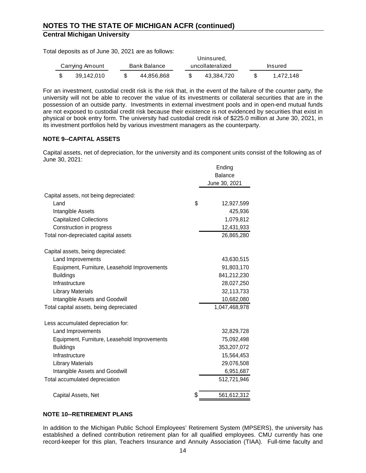Total deposits as of June 30, 2021 are as follows:

|                 |            |              | Uninsured. |  |                  |         |           |  |  |  |  |
|-----------------|------------|--------------|------------|--|------------------|---------|-----------|--|--|--|--|
| Carrying Amount |            | Bank Balance |            |  | uncollateralized | Insured |           |  |  |  |  |
|                 | 39,142,010 |              | 44.856.868 |  | 43.384.720       |         | 1.472.148 |  |  |  |  |

For an investment, custodial credit risk is the risk that, in the event of the failure of the counter party, the university will not be able to recover the value of its investments or collateral securities that are in the possession of an outside party. Investments in external investment pools and in open-end mutual funds are not exposed to custodial credit risk because their existence is not evidenced by securities that exist in physical or book entry form. The university had custodial credit risk of \$225.0 million at June 30, 2021, in its investment portfolios held by various investment managers as the counterparty.

### **NOTE 9--CAPITAL ASSETS**

Capital assets, net of depreciation, for the university and its component units consist of the following as of June 30, 2021:

|                                              | Ending            |
|----------------------------------------------|-------------------|
|                                              | <b>Balance</b>    |
|                                              | June 30, 2021     |
| Capital assets, not being depreciated:       |                   |
| Land                                         | \$<br>12,927,599  |
| Intangible Assets                            | 425,936           |
| <b>Capitalized Collections</b>               | 1,079,812         |
| Construction in progress                     | 12,431,933        |
| Total non-depreciated capital assets         | 26,865,280        |
| Capital assets, being depreciated:           |                   |
| Land Improvements                            | 43,630,515        |
| Equipment, Furniture, Leasehold Improvements | 91,803,170        |
| <b>Buildings</b>                             | 841,212,230       |
| Infrastructure                               | 28,027,250        |
| <b>Library Materials</b>                     | 32,113,733        |
| Intangible Assets and Goodwill               | 10,682,080        |
| Total capital assets, being depreciated      | 1,047,468,978     |
| Less accumulated depreciation for:           |                   |
| Land Improvements                            | 32,829,728        |
| Equipment, Furniture, Leasehold Improvements | 75,092,498        |
| <b>Buildings</b>                             | 353,207,072       |
| Infrastructure                               | 15,564,453        |
| <b>Library Materials</b>                     | 29,076,508        |
| Intangible Assets and Goodwill               | 6,951,687         |
| Total accumulated depreciation               | 512,721,946       |
| Capital Assets, Net                          | \$<br>561,612,312 |

### **NOTE 10--RETIREMENT PLANS**

In addition to the Michigan Public School Employees' Retirement System (MPSERS), the university has established a defined contribution retirement plan for all qualified employees. CMU currently has one record-keeper for this plan, Teachers Insurance and Annuity Association (TIAA). Full-time faculty and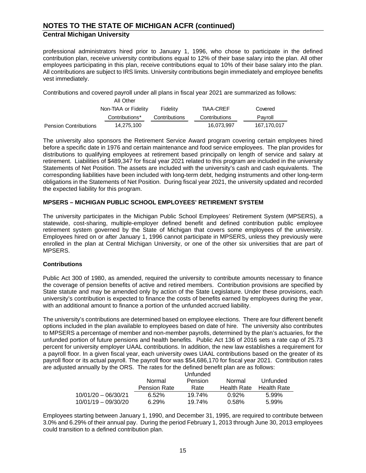professional administrators hired prior to January 1, 1996, who chose to participate in the defined contribution plan, receive university contributions equal to 12% of their base salary into the plan. All other employees participating in this plan, receive contributions equal to 10% of their base salary into the plan. All contributions are subject to IRS limits. University contributions begin immediately and employee benefits vest immediately.

Contributions and covered payroll under all plans in fiscal year 2021 are summarized as follows:

|                              | All Other            |               |               |             |
|------------------------------|----------------------|---------------|---------------|-------------|
|                              | Non-TIAA or Fidelity | Fidelity      | TIAA-CREF     | Covered     |
|                              | Contributions*       | Contributions | Contributions | Pavroll     |
| <b>Pension Contributions</b> | 14,275,100           |               | 16,073,997    | 167,170,017 |

The university also sponsors the Retirement Service Award program covering certain employees hired before a specific date in 1976 and certain maintenance and food service employees. The plan provides for distributions to qualifying employees at retirement based principally on length of service and salary at retirement. Liabilities of \$489,347 for fiscal year 2021 related to this program are included in the university Statements of Net Position. The assets are included with the university's cash and cash equivalents. The corresponding liabilities have been included with long-term debt, hedging instruments and other long-term obligations in the Statements of Net Position. During fiscal year 2021, the university updated and recorded the expected liability for this program.

### **MPSERS – MICHIGAN PUBLIC SCHOOL EMPLOYEES' RETIREMENT SYSTEM**

The university participates in the Michigan Public School Employees' Retirement System (MPSERS), a statewide, cost-sharing, multiple-employer defined benefit and defined contribution public employee retirement system governed by the State of Michigan that covers some employees of the university. Employees hired on or after January 1, 1996 cannot participate in MPSERS, unless they previously were enrolled in the plan at Central Michigan University, or one of the other six universities that are part of MPSERS.

### **Contributions**

Public Act 300 of 1980, as amended, required the university to contribute amounts necessary to finance the coverage of pension benefits of active and retired members. Contribution provisions are specified by State statute and may be amended only by action of the State Legislature. Under these provisions, each university's contribution is expected to finance the costs of benefits earned by employees during the year, with an additional amount to finance a portion of the unfunded accrued liability.

The university's contributions are determined based on employee elections. There are four different benefit options included in the plan available to employees based on date of hire. The university also contributes to MPSERS a percentage of member and non-member payrolls, determined by the plan's actuaries, for the unfunded portion of future pensions and health benefits. Public Act 136 of 2016 sets a rate cap of 25.73 percent for university employer UAAL contributions. In addition, the new law establishes a requirement for a payroll floor. In a given fiscal year, each university owes UAAL contributions based on the greater of its payroll floor or its actual payroll. The payroll floor was \$54,686,170 for fiscal year 2021. Contribution rates are adjusted annually by the ORS. The rates for the defined benefit plan are as follows:

|                       |                     | Unfunded |                    |                    |
|-----------------------|---------------------|----------|--------------------|--------------------|
|                       | Normal              | Pension  | Normal             | Unfunded           |
|                       | <b>Pension Rate</b> | Rate     | <b>Health Rate</b> | <b>Health Rate</b> |
| $10/01/20 - 06/30/21$ | $6.52\%$            | 19.74%   | $0.92\%$           | 5.99%              |
| $10/01/19 - 09/30/20$ | $6.29\%$            | 19.74%   | $0.58\%$           | 5.99%              |

Employees starting between January 1, 1990, and December 31, 1995, are required to contribute between 3.0% and 6.29% of their annual pay. During the period February 1, 2013 through June 30, 2013 employees could transition to a defined contribution plan.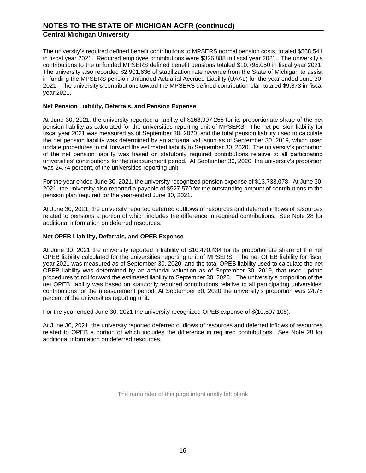# **NOTES TO THE STATE OF MICHIGAN ACFR (continued)**

# **Central Michigan University**

The university's required defined benefit contributions to MPSERS normal pension costs, totaled \$568,541 in fiscal year 2021. Required employee contributions were \$326,888 in fiscal year 2021. The university's contributions to the unfunded MPSERS defined benefit pensions totaled \$10,795,050 in fiscal year 2021. The university also recorded \$2,901,636 of stabilization rate revenue from the State of Michigan to assist in funding the MPSERS pension Unfunded Actuarial Accrued Liability (UAAL) for the year ended June 30, 2021. The university's contributions toward the MPSERS defined contribution plan totaled \$9,873 in fiscal year 2021.

### **Net Pension Liability, Deferrals, and Pension Expense**

At June 30, 2021, the university reported a liability of \$168,997,255 for its proportionate share of the net pension liability as calculated for the universities reporting unit of MPSERS. The net pension liability for fiscal year 2021 was measured as of September 30, 2020, and the total pension liability used to calculate the net pension liability was determined by an actuarial valuation as of September 30, 2019, which used update procedures to roll forward the estimated liability to September 30, 2020. The university's proportion of the net pension liability was based on statutorily required contributions relative to all participating universities' contributions for the measurement period. At September 30, 2020, the university's proportion was 24.74 percent, of the universities reporting unit.

For the year ended June 30, 2021, the university recognized pension expense of \$13,733,078. At June 30, 2021, the university also reported a payable of \$527,570 for the outstanding amount of contributions to the pension plan required for the year-ended June 30, 2021.

At June 30, 2021, the university reported deferred outflows of resources and deferred inflows of resources related to pensions a portion of which includes the difference in required contributions. See Note 28 for additional information on deferred resources.

### **Net OPEB Liability, Deferrals, and OPEB Expense**

At June 30, 2021 the university reported a liability of \$10,470,434 for its proportionate share of the net OPEB liability calculated for the universities reporting unit of MPSERS. The net OPEB liability for fiscal year 2021 was measured as of September 30, 2020, and the total OPEB liability used to calculate the net OPEB liability was determined by an actuarial valuation as of September 30, 2019, that used update procedures to roll forward the estimated liability to September 30, 2020. The university's proportion of the net OPEB liability was based on statutorily required contributions relative to all participating universities' contributions for the measurement period. At September 30, 2020 the university's proportion was 24.78 percent of the universities reporting unit.

For the year ended June 30, 2021 the university recognized OPEB expense of \$(10,507,108).

At June 30, 2021, the university reported deferred outflows of resources and deferred inflows of resources related to OPEB a portion of which includes the difference in required contributions. See Note 28 for additional information on deferred resources.

The remainder of this page intentionally left blank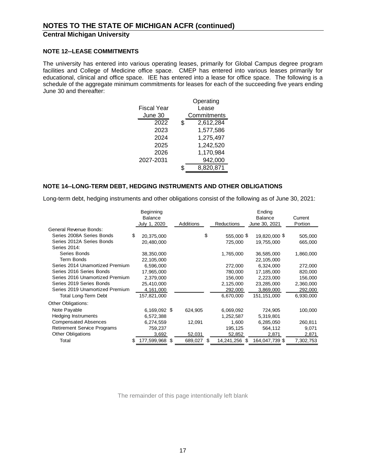### **NOTE 12--LEASE COMMITMENTS**

The university has entered into various operating leases, primarily for Global Campus degree program facilities and College of Medicine office space. CMEP has entered into various leases primarily for educational, clinical and office space. IEE has entered into a lease for office space. The following is a schedule of the aggregate minimum commitments for leases for each of the succeeding five years ending June 30 and thereafter:

|             |    | Operating   |
|-------------|----|-------------|
| Fiscal Year |    | Lease       |
| June 30     |    | Commitments |
| 2022        | S. | 2,612,284   |
| 2023        |    | 1,577,586   |
| 2024        |    | 1,275,497   |
| 2025        |    | 1,242,520   |
| 2026        |    | 1,170,984   |
| 2027-2031   |    | 942,000     |
|             | S. | 8,820,871   |
|             |    |             |

### **NOTE 14--LONG-TERM DEBT, HEDGING INSTRUMENTS AND OTHER OBLIGATIONS**

Long-term debt, hedging instruments and other obligations consist of the following as of June 30, 2021:

|                                    | Beginning<br>Balance<br>July 1, 2020 | Additions |    | Reductions        | Ending<br><b>Balance</b><br>June 30, 2021 | Current<br>Portion |
|------------------------------------|--------------------------------------|-----------|----|-------------------|-------------------------------------------|--------------------|
| General Revenue Bonds:             |                                      |           |    |                   |                                           |                    |
| Series 2008A Series Bonds          | \$<br>20,375,000                     |           | \$ | 555,000 \$        | 19,820,000 \$                             | 505,000            |
| Series 2012A Series Bonds          | 20,480,000                           |           |    | 725,000           | 19,755,000                                | 665,000            |
| Series 2014:                       |                                      |           |    |                   |                                           |                    |
| Series Bonds                       | 38,350,000                           |           |    | 1,765,000         | 36,585,000                                | 1,860,000          |
| Term Bonds                         | 22,105,000                           |           |    |                   | 22,105,000                                |                    |
| Series 2014 Unamortized Premium    | 6,596,000                            |           |    | 272,000           | 6,324,000                                 | 272,000            |
| Series 2016 Series Bonds           | 17,965,000                           |           |    | 780,000           | 17,185,000                                | 820,000            |
| Series 2016 Unamortized Premium    | 2,379,000                            |           |    | 156,000           | 2,223,000                                 | 156,000            |
| Series 2019 Series Bonds           | 25,410,000                           |           |    | 2,125,000         | 23,285,000                                | 2,360,000          |
| Series 2019 Unamortized Premium    | 4,161,000                            |           |    | 292,000           | 3,869,000                                 | 292,000            |
| Total Long-Term Debt               | 157.821.000                          |           |    | 6,670,000         | 151, 151, 000                             | 6,930,000          |
| Other Obligations:                 |                                      |           |    |                   |                                           |                    |
| Note Payable                       | 6,169,092 \$                         | 624,905   |    | 6,069,092         | 724,905                                   | 100,000            |
| <b>Hedging Instruments</b>         | 6,572,388                            |           |    | 1,252,587         | 5,319,801                                 |                    |
| <b>Compensated Absences</b>        | 6,274,559                            | 12,091    |    | 1.600             | 6,285,050                                 | 260,811            |
| <b>Retirement Service Programs</b> | 759,237                              |           |    | 195,125           | 564,112                                   | 9,071              |
| <b>Other Obligations</b>           | 3,692                                | 52,031    |    | 52,852            | 2,871                                     | 2,871              |
| Total                              | 177,599,968 \$                       | 689,027   | S  | 14,241,256<br>-\$ | 164,047,739 \$                            | 7,302,753          |

The remainder of this page intentionally left blank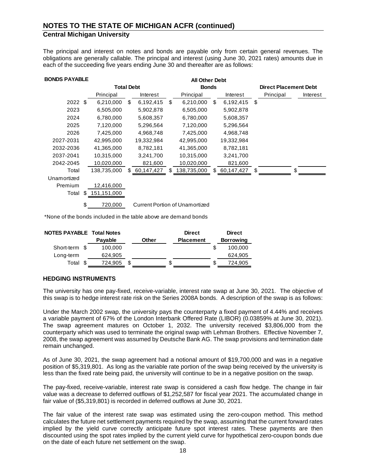The principal and interest on notes and bonds are payable only from certain general revenues. The obligations are generally callable. The principal and interest (using June 30, 2021 rates) amounts due in each of the succeeding five years ending June 30 and thereafter are as follows:

| <b>BONDS PAYABLE</b> |                   | <b>All Other Debt</b> |            |           |                                       |          |                              |           |  |    |          |  |  |
|----------------------|-------------------|-----------------------|------------|-----------|---------------------------------------|----------|------------------------------|-----------|--|----|----------|--|--|
|                      | <b>Total Debt</b> |                       |            |           | <b>Bonds</b>                          |          | <b>Direct Placement Debt</b> |           |  |    |          |  |  |
|                      | Principal         | Interest              |            | Principal |                                       | Interest |                              | Principal |  |    | Interest |  |  |
| 2022 \$              | 6,210,000         | \$                    | 6,192,415  | \$        | 6,210,000                             | \$.      | 6,192,415                    | \$        |  |    |          |  |  |
| 2023                 | 6,505,000         |                       | 5,902,878  |           | 6,505,000                             |          | 5,902,878                    |           |  |    |          |  |  |
| 2024                 | 6,780,000         |                       | 5,608,357  |           | 6,780,000                             |          | 5,608,357                    |           |  |    |          |  |  |
| 2025                 | 7,120,000         |                       | 5,296,564  |           | 7,120,000                             |          | 5,296,564                    |           |  |    |          |  |  |
| 2026                 | 7,425,000         |                       | 4,968,748  |           | 7,425,000                             |          | 4,968,748                    |           |  |    |          |  |  |
| 2027-2031            | 42,995,000        |                       | 19,332,984 |           | 42,995,000                            |          | 19,332,984                   |           |  |    |          |  |  |
| 2032-2036            | 41,365,000        |                       | 8,782,181  |           | 41,365,000                            |          | 8,782,181                    |           |  |    |          |  |  |
| 2037-2041            | 10,315,000        |                       | 3,241,700  |           | 10,315,000                            |          | 3,241,700                    |           |  |    |          |  |  |
| 2042-2045            | 10,020,000        |                       | 821,600    |           | 10,020,000                            |          | 821,600                      |           |  |    |          |  |  |
| Total                | 138,735,000       | S                     | 60,147,427 | S         | 138,735,000                           | S        | 60,147,427                   | \$        |  | \$ |          |  |  |
| Unamortized          |                   |                       |            |           |                                       |          |                              |           |  |    |          |  |  |
| Premium              | 12,416,000        |                       |            |           |                                       |          |                              |           |  |    |          |  |  |
| Total                | \$<br>151,151,000 |                       |            |           |                                       |          |                              |           |  |    |          |  |  |
|                      | \$<br>720,000     |                       |            |           | <b>Current Portion of Unamortized</b> |          |                              |           |  |    |          |  |  |

\*None of the bonds included in the table above are demand bonds

| <b>NOTES PAYABLE Total Notes</b> |  |         |              | <b>Direct</b>    |   | <b>Direct</b>    |
|----------------------------------|--|---------|--------------|------------------|---|------------------|
|                                  |  | Payable | <b>Other</b> | <b>Placement</b> |   | <b>Borrowing</b> |
| Short-term \$                    |  | 100,000 |              |                  | S | 100,000          |
| Long-term                        |  | 624,905 |              |                  |   | 624.905          |
| Total                            |  | 724,905 |              |                  | S | 724,905          |

### **HEDGING INSTRUMENTS**

The university has one pay-fixed, receive-variable, interest rate swap at June 30, 2021. The objective of this swap is to hedge interest rate risk on the Series 2008A bonds. A description of the swap is as follows:

Under the March 2002 swap, the university pays the counterparty a fixed payment of 4.44% and receives a variable payment of 67% of the London Interbank Offered Rate (LIBOR) (0.03859% at June 30, 2021). The swap agreement matures on October 1, 2032. The university received \$3,806,000 from the counterparty which was used to terminate the original swap with Lehman Brothers. Effective November 7, 2008, the swap agreement was assumed by Deutsche Bank AG. The swap provisions and termination date remain unchanged.

As of June 30, 2021, the swap agreement had a notional amount of \$19,700,000 and was in a negative position of \$5,319,801. As long as the variable rate portion of the swap being received by the university is less than the fixed rate being paid, the university will continue to be in a negative position on the swap.

The pay-fixed, receive-variable, interest rate swap is considered a cash flow hedge. The change in fair value was a decrease to deferred outflows of \$1,252,587 for fiscal year 2021. The accumulated change in fair value of (\$5,319,801) is recorded in deferred outflows at June 30, 2021.

The fair value of the interest rate swap was estimated using the zero-coupon method. This method calculates the future net settlement payments required by the swap, assuming that the current forward rates implied by the yield curve correctly anticipate future spot interest rates. These payments are then discounted using the spot rates implied by the current yield curve for hypothetical zero-coupon bonds due on the date of each future net settlement on the swap.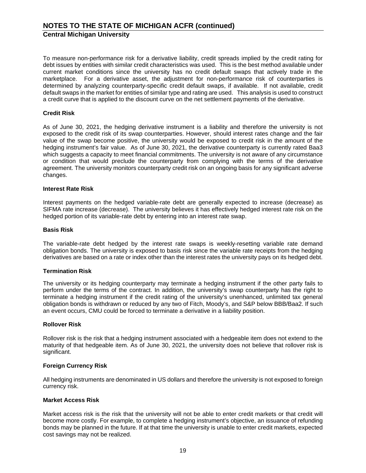To measure non-performance risk for a derivative liability, credit spreads implied by the credit rating for debt issues by entities with similar credit characteristics was used. This is the best method available under current market conditions since the university has no credit default swaps that actively trade in the marketplace. For a derivative asset, the adjustment for non-performance risk of counterparties is determined by analyzing counterparty-specific credit default swaps, if available. If not available, credit default swaps in the market for entities of similar type and rating are used. This analysis is used to construct a credit curve that is applied to the discount curve on the net settlement payments of the derivative.

### **Credit Risk**

As of June 30, 2021, the hedging derivative instrument is a liability and therefore the university is not exposed to the credit risk of its swap counterparties. However, should interest rates change and the fair value of the swap become positive, the university would be exposed to credit risk in the amount of the hedging instrument's fair value. As of June 30, 2021, the derivative counterparty is currently rated Baa3 which suggests a capacity to meet financial commitments. The university is not aware of any circumstance or condition that would preclude the counterparty from complying with the terms of the derivative agreement. The university monitors counterparty credit risk on an ongoing basis for any significant adverse changes.

#### **Interest Rate Risk**

Interest payments on the hedged variable-rate debt are generally expected to increase (decrease) as SIFMA rate increase (decrease). The university believes it has effectively hedged interest rate risk on the hedged portion of its variable-rate debt by entering into an interest rate swap.

#### **Basis Risk**

The variable-rate debt hedged by the interest rate swaps is weekly-resetting variable rate demand obligation bonds. The university is exposed to basis risk since the variable rate receipts from the hedging derivatives are based on a rate or index other than the interest rates the university pays on its hedged debt.

### **Termination Risk**

The university or its hedging counterparty may terminate a hedging instrument if the other party fails to perform under the terms of the contract. In addition, the university's swap counterparty has the right to terminate a hedging instrument if the credit rating of the university's unenhanced, unlimited tax general obligation bonds is withdrawn or reduced by any two of Fitch, Moody's, and S&P below BBB/Baa2. If such an event occurs, CMU could be forced to terminate a derivative in a liability position.

#### **Rollover Risk**

Rollover risk is the risk that a hedging instrument associated with a hedgeable item does not extend to the maturity of that hedgeable item. As of June 30, 2021, the university does not believe that rollover risk is significant.

#### **Foreign Currency Risk**

All hedging instruments are denominated in US dollars and therefore the university is not exposed to foreign currency risk.

#### **Market Access Risk**

Market access risk is the risk that the university will not be able to enter credit markets or that credit will become more costly. For example, to complete a hedging instrument's objective, an issuance of refunding bonds may be planned in the future. If at that time the university is unable to enter credit markets, expected cost savings may not be realized.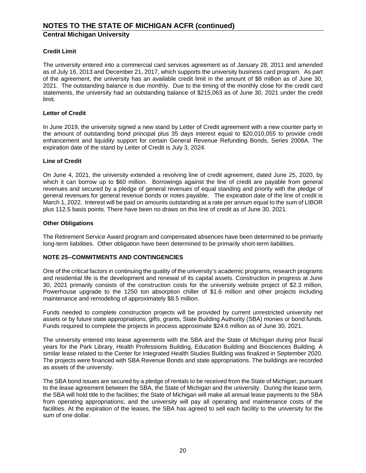### **Credit Limit**

The university entered into a commercial card services agreement as of January 28, 2011 and amended as of July 16, 2013 and December 21, 2017, which supports the university business card program. As part of the agreement, the university has an available credit limit in the amount of \$8 million as of June 30, 2021. The outstanding balance is due monthly. Due to the timing of the monthly close for the credit card statements, the university had an outstanding balance of \$215,063 as of June 30, 2021 under the credit limit.

### **Letter of Credit**

In June 2019, the university signed a new stand by Letter of Credit agreement with a new counter party in the amount of outstanding bond principal plus 35 days interest equal to \$20,010,055 to provide credit enhancement and liquidity support for certain General Revenue Refunding Bonds, Series 2008A. The expiration date of the stand by Letter of Credit is July 3, 2024.

### **Line of Credit**

On June 4, 2021, the university extended a revolving line of credit agreement, dated June 25, 2020, by which it can borrow up to \$60 million. Borrowings against the line of credit are payable from general revenues and secured by a pledge of general revenues of equal standing and priority with the pledge of general revenues for general revenue bonds or notes payable. The expiration date of the line of credit is March 1, 2022. Interest will be paid on amounts outstanding at a rate per annum equal to the sum of LIBOR plus 112.5 basis points. There have been no draws on this line of credit as of June 30, 2021.

### **Other Obligations**

The Retirement Service Award program and compensated absences have been determined to be primarily long-term liabilities. Other obligation have been determined to be primarily short-term liabilities.

### **NOTE 25--COMMITMENTS AND CONTINGENCIES**

One of the critical factors in continuing the quality of the university's academic programs, research programs and residential life is the development and renewal of its capital assets. Construction in progress at June 30, 2021 primarily consists of the construction costs for the university website project of \$2.3 million, Powerhouse upgrade to the 1250 ton absorption chiller of \$1.6 million and other projects including maintenance and remodeling of approximately \$8.5 million.

Funds needed to complete construction projects will be provided by current unrestricted university net assets or by future state appropriations, gifts, grants, State Building Authority (SBA) monies or bond funds. Funds required to complete the projects in process approximate \$24.6 million as of June 30, 2021.

The university entered into lease agreements with the SBA and the State of Michigan during prior fiscal years for the Park Library, Health Professions Building, Education Building and Biosciences Building. A similar lease related to the Center for Integrated Health Studies Building was finalized in September 2020. The projects were financed with SBA Revenue Bonds and state appropriations. The buildings are recorded as assets of the university.

The SBA bond issues are secured by a pledge of rentals to be received from the State of Michigan, pursuant to the lease agreement between the SBA, the State of Michigan and the university. During the lease term, the SBA will hold title to the facilities; the State of Michigan will make all annual lease payments to the SBA from operating appropriations; and the university will pay all operating and maintenance costs of the facilities. At the expiration of the leases, the SBA has agreed to sell each facility to the university for the sum of one dollar.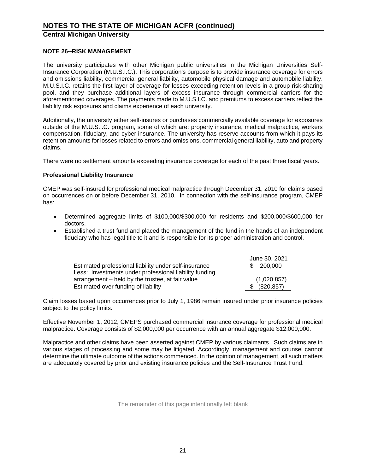### **NOTE 26--RISK MANAGEMENT**

The university participates with other Michigan public universities in the Michigan Universities Self-Insurance Corporation (M.U.S.I.C.). This corporation's purpose is to provide insurance coverage for errors and omissions liability, commercial general liability, automobile physical damage and automobile liability. M.U.S.I.C. retains the first layer of coverage for losses exceeding retention levels in a group risk-sharing pool, and they purchase additional layers of excess insurance through commercial carriers for the aforementioned coverages. The payments made to M.U.S.I.C. and premiums to excess carriers reflect the liability risk exposures and claims experience of each university.

Additionally, the university either self-insures or purchases commercially available coverage for exposures outside of the M.U.S.I.C. program, some of which are: property insurance, medical malpractice, workers compensation, fiduciary, and cyber insurance. The university has reserve accounts from which it pays its retention amounts for losses related to errors and omissions, commercial general liability, auto and property claims.

There were no settlement amounts exceeding insurance coverage for each of the past three fiscal years.

### **Professional Liability Insurance**

CMEP was self-insured for professional medical malpractice through December 31, 2010 for claims based on occurrences on or before December 31, 2010. In connection with the self-insurance program, CMEP has:

- Determined aggregate limits of \$100,000/\$300,000 for residents and \$200,000/\$600,000 for doctors.
- Established a trust fund and placed the management of the fund in the hands of an independent fiduciary who has legal title to it and is responsible for its proper administration and control.

|                                                        | June 30, 2021 |
|--------------------------------------------------------|---------------|
| Estimated professional liability under self-insurance  | \$200,000     |
| Less: Investments under professional liability funding |               |
| arrangement – held by the trustee, at fair value       | (1,020,857)   |
| Estimated over funding of liability                    | (820, 857)    |

Claim losses based upon occurrences prior to July 1, 1986 remain insured under prior insurance policies subject to the policy limits.

Effective November 1, 2012, CMEPS purchased commercial insurance coverage for professional medical malpractice. Coverage consists of \$2,000,000 per occurrence with an annual aggregate \$12,000,000.

Malpractice and other claims have been asserted against CMEP by various claimants. Such claims are in various stages of processing and some may be litigated. Accordingly, management and counsel cannot determine the ultimate outcome of the actions commenced. In the opinion of management, all such matters are adequately covered by prior and existing insurance policies and the Self-Insurance Trust Fund.

The remainder of this page intentionally left blank